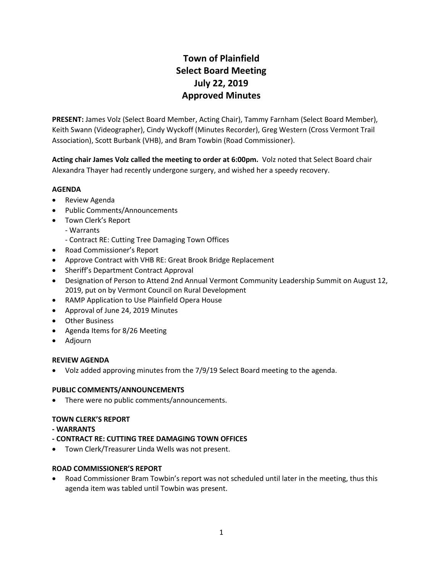# **Town of Plainfield Select Board Meeting July 22, 2019 Approved Minutes**

**PRESENT:** James Volz (Select Board Member, Acting Chair), Tammy Farnham (Select Board Member), Keith Swann (Videographer), Cindy Wyckoff (Minutes Recorder), Greg Western (Cross Vermont Trail Association), Scott Burbank (VHB), and Bram Towbin (Road Commissioner).

**Acting chair James Volz called the meeting to order at 6:00pm.** Volz noted that Select Board chair Alexandra Thayer had recently undergone surgery, and wished her a speedy recovery.

# **AGENDA**

- Review Agenda
- Public Comments/Announcements
- Town Clerk's Report
	- Warrants
	- Contract RE: Cutting Tree Damaging Town Offices
- Road Commissioner's Report
- Approve Contract with VHB RE: Great Brook Bridge Replacement
- Sheriff's Department Contract Approval
- Designation of Person to Attend 2nd Annual Vermont Community Leadership Summit on August 12, 2019, put on by Vermont Council on Rural Development
- RAMP Application to Use Plainfield Opera House
- Approval of June 24, 2019 Minutes
- Other Business
- Agenda Items for 8/26 Meeting
- Adjourn

## **REVIEW AGENDA**

Volz added approving minutes from the 7/9/19 Select Board meeting to the agenda.

## **PUBLIC COMMENTS/ANNOUNCEMENTS**

• There were no public comments/announcements.

## **TOWN CLERK'S REPORT**

- **- WARRANTS**
- **- CONTRACT RE: CUTTING TREE DAMAGING TOWN OFFICES**
- Town Clerk/Treasurer Linda Wells was not present.

## **ROAD COMMISSIONER'S REPORT**

 Road Commissioner Bram Towbin's report was not scheduled until later in the meeting, thus this agenda item was tabled until Towbin was present.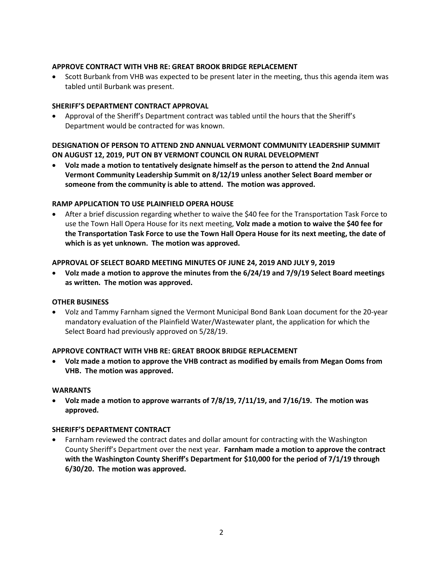## **APPROVE CONTRACT WITH VHB RE: GREAT BROOK BRIDGE REPLACEMENT**

 Scott Burbank from VHB was expected to be present later in the meeting, thus this agenda item was tabled until Burbank was present.

# **SHERIFF'S DEPARTMENT CONTRACT APPROVAL**

 Approval of the Sheriff's Department contract was tabled until the hours that the Sheriff's Department would be contracted for was known.

# **DESIGNATION OF PERSON TO ATTEND 2ND ANNUAL VERMONT COMMUNITY LEADERSHIP SUMMIT ON AUGUST 12, 2019, PUT ON BY VERMONT COUNCIL ON RURAL DEVELOPMENT**

 **Volz made a motion to tentatively designate himself as the person to attend the 2nd Annual Vermont Community Leadership Summit on 8/12/19 unless another Select Board member or someone from the community is able to attend. The motion was approved.** 

# **RAMP APPLICATION TO USE PLAINFIELD OPERA HOUSE**

 After a brief discussion regarding whether to waive the \$40 fee for the Transportation Task Force to use the Town Hall Opera House for its next meeting, **Volz made a motion to waive the \$40 fee for the Transportation Task Force to use the Town Hall Opera House for its next meeting, the date of which is as yet unknown. The motion was approved.** 

## **APPROVAL OF SELECT BOARD MEETING MINUTES OF JUNE 24, 2019 AND JULY 9, 2019**

 **Volz made a motion to approve the minutes from the 6/24/19 and 7/9/19 Select Board meetings as written. The motion was approved.**

## **OTHER BUSINESS**

 Volz and Tammy Farnham signed the Vermont Municipal Bond Bank Loan document for the 20-year mandatory evaluation of the Plainfield Water/Wastewater plant, the application for which the Select Board had previously approved on 5/28/19.

## **APPROVE CONTRACT WITH VHB RE: GREAT BROOK BRIDGE REPLACEMENT**

 **Volz made a motion to approve the VHB contract as modified by emails from Megan Ooms from VHB. The motion was approved.**

## **WARRANTS**

 **Volz made a motion to approve warrants of 7/8/19, 7/11/19, and 7/16/19. The motion was approved.**

## **SHERIFF'S DEPARTMENT CONTRACT**

 Farnham reviewed the contract dates and dollar amount for contracting with the Washington County Sheriff's Department over the next year. **Farnham made a motion to approve the contract with the Washington County Sheriff's Department for \$10,000 for the period of 7/1/19 through 6/30/20. The motion was approved.**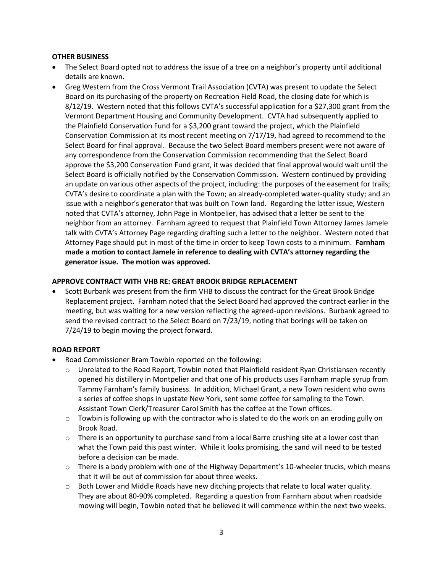## **OTHER BUSINESS**

- The Select Board opted not to address the issue of a tree on a neighbor's property until additional details are known.
- Greg Western from the Cross Vermont Trail Association (CVTA) was present to update the Select Board on its purchasing of the property on Recreation Field Road, the closing date for which is 8/12/19. Western noted that this follows CVTA's successful application for a \$27,300 grant from the Vermont Department Housing and Community Development. CVTA had subsequently applied to the Plainfield Conservation Fund for a \$3,200 grant toward the project, which the Plainfield Conservation Commission at its most recent meeting on 7/17/19, had agreed to recommend to the Select Board for final approval. Because the two Select Board members present were not aware of any correspondence from the Conservation Commission recommending that the Select Board approve the \$3,200 Conservation Fund grant, it was decided that final approval would wait until the Select Board is officially notified by the Conservation Commission. Western continued by providing an update on various other aspects of the project, including: the purposes of the easement for trails; CVTA's desire to coordinate a plan with the Town; an already-completed water-quality study; and an issue with a neighbor's generator that was built on Town land. Regarding the latter issue, Western noted that CVTA's attorney, John Page in Montpelier, has advised that a letter be sent to the neighbor from an attorney. Farnham agreed to request that Plainfield Town Attorney James Jamele talk with CVTA's Attorney Page regarding drafting such a letter to the neighbor. Western noted that Attorney Page should put in most of the time in order to keep Town costs to a minimum. **Farnham made a motion to contact Jamele in reference to dealing with CVTA's attorney regarding the generator issue. The motion was approved.**

#### **APPROVE CONTRACT WITH VHB RE: GREAT BROOK BRIDGE REPLACEMENT**

 Scott Burbank was present from the firm VHB to discuss the contract for the Great Brook Bridge Replacement project. Farnham noted that the Select Board had approved the contract earlier in the meeting, but was waiting for a new version reflecting the agreed-upon revisions. Burbank agreed to send the revised contract to the Select Board on 7/23/19, noting that borings will be taken on 7/24/19 to begin moving the project forward.

#### **ROAD REPORT**

- Road Commissioner Bram Towbin reported on the following:
	- o Unrelated to the Road Report, Towbin noted that Plainfield resident Ryan Christiansen recently opened his distillery in Montpelier and that one of his products uses Farnham maple syrup from Tammy Farnham's family business. In addition, Michael Grant, a new Town resident who owns a series of coffee shops in upstate New York, sent some coffee for sampling to the Town. Assistant Town Clerk/Treasurer Carol Smith has the coffee at the Town offices.
	- $\circ$  Towbin is following up with the contractor who is slated to do the work on an eroding gully on Brook Road.
	- o There is an opportunity to purchase sand from a local Barre crushing site at a lower cost than what the Town paid this past winter. While it looks promising, the sand will need to be tested before a decision can be made.
	- $\circ$  There is a body problem with one of the Highway Department's 10-wheeler trucks, which means that it will be out of commission for about three weeks.
	- $\circ$  Both Lower and Middle Roads have new ditching projects that relate to local water quality. They are about 80-90% completed. Regarding a question from Farnham about when roadside mowing will begin, Towbin noted that he believed it will commence within the next two weeks.